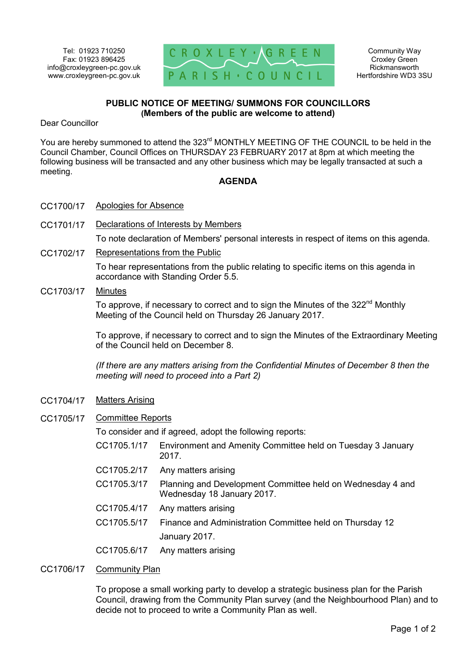

Community Way Croxley Green Rickmansworth Hertfordshire WD3 3SU

## **PUBLIC NOTICE OF MEETING/ SUMMONS FOR COUNCILLORS (Members of the public are welcome to attend)**

Dear Councillor

You are hereby summoned to attend the 323<sup>rd</sup> MONTHLY MEETING OF THE COUNCIL to be held in the Council Chamber, Council Offices on THURSDAY 23 FEBRUARY 2017 at 8pm at which meeting the following business will be transacted and any other business which may be legally transacted at such a meeting.

## **AGENDA**

- CC1700/17 Apologies for Absence
- CC1701/17 Declarations of Interests by Members

To note declaration of Members' personal interests in respect of items on this agenda.

CC1702/17 Representations from the Public

To hear representations from the public relating to specific items on this agenda in accordance with Standing Order 5.5.

CC1703/17 Minutes

To approve, if necessary to correct and to sign the Minutes of the 322<sup>nd</sup> Monthly Meeting of the Council held on Thursday 26 January 2017.

To approve, if necessary to correct and to sign the Minutes of the Extraordinary Meeting of the Council held on December 8.

*(If there are any matters arising from the Confidential Minutes of December 8 then the meeting will need to proceed into a Part 2)* 

- CC1704/17 Matters Arising
- CC1705/17 Committee Reports

To consider and if agreed, adopt the following reports:

- CC1705.1/17 Environment and Amenity Committee held on Tuesday 3 January 2017.
- CC1705.2/17 Any matters arising
- CC1705.3/17 Planning and Development Committee held on Wednesday 4 and Wednesday 18 January 2017.
- CC1705.4/17 Any matters arising
- CC1705.5/17 Finance and Administration Committee held on Thursday 12 January 2017.
- CC1705.6/17 Any matters arising

## CC1706/17 Community Plan

To propose a small working party to develop a strategic business plan for the Parish Council, drawing from the Community Plan survey (and the Neighbourhood Plan) and to decide not to proceed to write a Community Plan as well.